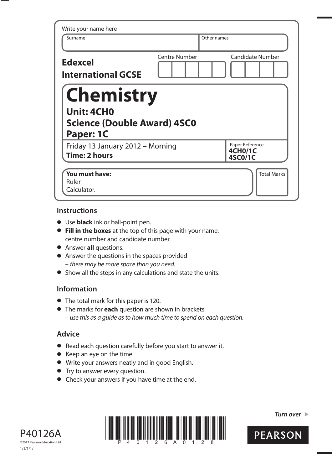| Write your name here                                                                     |                      |                                                     |
|------------------------------------------------------------------------------------------|----------------------|-----------------------------------------------------|
| Surname                                                                                  |                      | Other names                                         |
| <b>Edexcel</b><br><b>International GCSE</b>                                              | <b>Centre Number</b> | <b>Candidate Number</b>                             |
| <b>Chemistry</b><br><b>Unit: 4CH0</b><br><b>Science (Double Award) 4SC0</b><br>Paper: 1C |                      |                                                     |
| Friday 13 January 2012 - Morning<br><b>Time: 2 hours</b>                                 |                      | Paper Reference<br><b>4CH0/1C</b><br><b>4SC0/1C</b> |
| You must have:<br>Ruler                                                                  |                      | <b>Total Marks</b>                                  |

### **Instructions**

- **t** Use **black** ink or ball-point pen.
- **Fill in the boxes** at the top of this page with your name, centre number and candidate number.
- **•** Answer **all** questions.
- **•** Answer the questions in the spaces provided – there may be more space than you need.
- **•** Show all the steps in any calculations and state the units.

# **Information**

- **•** The total mark for this paper is 120.
- **t** The marks for **each** question are shown in brackets – use this as a guide as to how much time to spend on each question.

# **Advice**

- **t** Read each question carefully before you start to answer it.
- **t** Keep an eye on the time.
- **t** Write your answers neatly and in good English.
- **•** Try to answer every question.
- **•** Check your answers if you have time at the end.





*Turn over* 

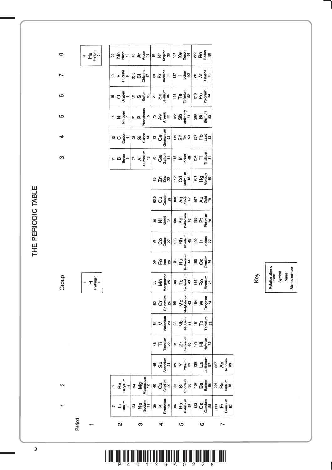|                   |                                                                                                   | $\mathbf{\Omega}$                            |                                                                                                                                                                                                                                |                                                                     |                                                                                                                                                                                                                                                                                                                                                                                                                                                                                                                                                                                             |                                                                                                                                                                                                                                                                                                                                                                                                                                                                                                                        | Group                                                                                                              |                                                                                                                                                                                                                                                                                                                                                                                                                                                                                                                |                                                                                                                                                                                                                                                                                                                                                                                                                                                                              |             |                                                                                                                                                                                                                                                                                                                                                                                                                                    | ო | 4                                                                                                                                                                                                                                                                                     | LO.                                                                                                                                                                                                                                                                                                                                                                                                                                      | $\circ$                                                                                           | $\overline{ }$                                                                                                                                                                                                                                                                                                                                                                                                              | $\circ$                                                                                   |  |
|-------------------|---------------------------------------------------------------------------------------------------|----------------------------------------------|--------------------------------------------------------------------------------------------------------------------------------------------------------------------------------------------------------------------------------|---------------------------------------------------------------------|---------------------------------------------------------------------------------------------------------------------------------------------------------------------------------------------------------------------------------------------------------------------------------------------------------------------------------------------------------------------------------------------------------------------------------------------------------------------------------------------------------------------------------------------------------------------------------------------|------------------------------------------------------------------------------------------------------------------------------------------------------------------------------------------------------------------------------------------------------------------------------------------------------------------------------------------------------------------------------------------------------------------------------------------------------------------------------------------------------------------------|--------------------------------------------------------------------------------------------------------------------|----------------------------------------------------------------------------------------------------------------------------------------------------------------------------------------------------------------------------------------------------------------------------------------------------------------------------------------------------------------------------------------------------------------------------------------------------------------------------------------------------------------|------------------------------------------------------------------------------------------------------------------------------------------------------------------------------------------------------------------------------------------------------------------------------------------------------------------------------------------------------------------------------------------------------------------------------------------------------------------------------|-------------|------------------------------------------------------------------------------------------------------------------------------------------------------------------------------------------------------------------------------------------------------------------------------------------------------------------------------------------------------------------------------------------------------------------------------------|---|---------------------------------------------------------------------------------------------------------------------------------------------------------------------------------------------------------------------------------------------------------------------------------------|------------------------------------------------------------------------------------------------------------------------------------------------------------------------------------------------------------------------------------------------------------------------------------------------------------------------------------------------------------------------------------------------------------------------------------------|---------------------------------------------------------------------------------------------------|-----------------------------------------------------------------------------------------------------------------------------------------------------------------------------------------------------------------------------------------------------------------------------------------------------------------------------------------------------------------------------------------------------------------------------|-------------------------------------------------------------------------------------------|--|
| Period            |                                                                                                   |                                              |                                                                                                                                                                                                                                |                                                                     |                                                                                                                                                                                                                                                                                                                                                                                                                                                                                                                                                                                             |                                                                                                                                                                                                                                                                                                                                                                                                                                                                                                                        | $\begin{array}{ccc}\n & - & \text{Hogon} \\  & & - & \text{Hogon} \\  & & & \text{Hogon} \\  & & & -\n\end{array}$ |                                                                                                                                                                                                                                                                                                                                                                                                                                                                                                                |                                                                                                                                                                                                                                                                                                                                                                                                                                                                              |             |                                                                                                                                                                                                                                                                                                                                                                                                                                    |   |                                                                                                                                                                                                                                                                                       |                                                                                                                                                                                                                                                                                                                                                                                                                                          |                                                                                                   |                                                                                                                                                                                                                                                                                                                                                                                                                             | $\begin{array}{c}\n\ast \frac{1}{2} \\ \ast \frac{1}{2} \\ \ast \frac{1}{2}\n\end{array}$ |  |
| $\mathbf{\Omega}$ | $\begin{array}{c}\n\sqcup \\ \sqcup \\ \sqcup \\ \sqcup \\ \sqcup \\ \sqcup\n\end{array}$         | a<br>Be<br>Beryllium                         |                                                                                                                                                                                                                                |                                                                     |                                                                                                                                                                                                                                                                                                                                                                                                                                                                                                                                                                                             |                                                                                                                                                                                                                                                                                                                                                                                                                                                                                                                        |                                                                                                                    |                                                                                                                                                                                                                                                                                                                                                                                                                                                                                                                |                                                                                                                                                                                                                                                                                                                                                                                                                                                                              |             |                                                                                                                                                                                                                                                                                                                                                                                                                                    |   | $\begin{array}{c c c c} \mathfrak{p} & \mathfrak{p} & \mathfrak{p} & \mathfrak{p} \\ \mathfrak{p} & \mathfrak{p} & \mathfrak{p} & \mathfrak{p} \\ \mathfrak{p} & \mathfrak{p} & \mathfrak{p} & \mathfrak{p} \\ \mathfrak{p} & \mathfrak{p} & \mathfrak{p} & \mathfrak{p} \end{array}$ | $\begin{array}{c}\n \stackrel{\text{d}}{2} \\  \stackrel{\text{Nirogen}}{2}\n \end{array}$                                                                                                                                                                                                                                                                                                                                               | $\begin{bmatrix} 1 & 0 \\ 0 & 0 \\ 0 & 0 \end{bmatrix}$                                           | $\begin{array}{c c c c c c c c} \hline \text{P} & \text{L} & \text{L} & \text{R} & \text{R} \\ \hline \text{P} & \text{P} & \text{P} & \text{P} & \text{R} \\ \hline \text{P} & \text{P} & \text{P} & \text{P} & \text{P} \\ \hline \text{P} & \text{P} & \text{P} & \text{P} & \text{P} \\ \hline \text{P} & \text{P} & \text{P} & \text{P} & \text{P} \\ \hline \text{P} & \text{P} & \text{P} & \text{P} & \text{P} & \$ |                                                                                           |  |
| ო                 | $\frac{a}{\sqrt{a}}$                                                                              | 24<br>Mg<br>Magnesium<br>12                  |                                                                                                                                                                                                                                |                                                                     |                                                                                                                                                                                                                                                                                                                                                                                                                                                                                                                                                                                             |                                                                                                                                                                                                                                                                                                                                                                                                                                                                                                                        |                                                                                                                    |                                                                                                                                                                                                                                                                                                                                                                                                                                                                                                                |                                                                                                                                                                                                                                                                                                                                                                                                                                                                              |             |                                                                                                                                                                                                                                                                                                                                                                                                                                    |   |                                                                                                                                                                                                                                                                                       |                                                                                                                                                                                                                                                                                                                                                                                                                                          |                                                                                                   |                                                                                                                                                                                                                                                                                                                                                                                                                             |                                                                                           |  |
| 4                 | $\begin{array}{c}\n 39 \\  \hline\n 19\n\end{array}$                                              | $rac{a}{\sqrt{a}}$                           |                                                                                                                                                                                                                                | $\begin{array}{c}\n\bullet \\ \bullet \\ \blacksquare\n\end{array}$ | $\begin{array}{c}\n51 \\ 51 \\ \hline\n\end{array}$                                                                                                                                                                                                                                                                                                                                                                                                                                                                                                                                         | $\begin{array}{c c}\n & \text{so} \\  & \text{of} \\  & \text{of} \\  & \text{of} \\  & \text{of} \\  & \text{of} \\  & \text{of} \\  & \text{of} \\  & \text{of} \\  & \text{of} \\  & \text{of} \\  & \text{of} \\  & \text{of} \\  & \text{of} \\  & \text{of} \\  & \text{of} \\  & \text{of} \\  & \text{of} \\  & \text{of} \\  & \text{of} \\  & \text{of} \\  & \text{of} \\  & \text{of} \\  & \text{of} \\  & \text{of} \\  & \text{of} \\  & \text{of} \\  & \text{of} \\  & \text{of} \\  & \text{of} \\ $ |                                                                                                                    | $$ \mathfrak{L} \subseteq \mathfrak{L} \times \mathfrak{L} \times \mathfrak{L} \times \mathfrak{L} \times \mathfrak{L} \times \mathfrak{L} \times \mathfrak{L} \times \mathfrak{L} \times \mathfrak{L} \times \mathfrak{L} \times \mathfrak{L} \times \mathfrak{L} \times \mathfrak{L} \times \mathfrak{L} \times \mathfrak{L} \times \mathfrak{L} \times \mathfrak{L} \times \mathfrak{L} \times \mathfrak{L} \times \mathfrak{L} \times \mathfrak{L} \times \mathfrak{L} \times \mathfrak{L} \times \mathfr$ |                                                                                                                                                                                                                                                                                                                                                                                                                                                                              | 3388        |                                                                                                                                                                                                                                                                                                                                                                                                                                    |   | $\begin{array}{ c c } \hline & 73 \\ \hline \text{Geometric}\\ \hline & 82 \\ \hline & 19 \\ \hline & 15 \\ \hline & 55 \\ \hline & 8 \\ \hline \end{array}$                                                                                                                          | $\begin{array}{c c}\n31 \\ P\n\n\nPhosphorus\n\n75\n\nAS\n\nAssonic\n\nAssume\n\nSt\n\nSt\n\nSt\n\nSt\n\nSt\n\nSt\n\nSt\n\nSt\n\nSt\n\nSt\n\nSt\n\nSt\n\nSt\n\nSt\n\nSt\n\nSt\$                                                                                                                                                                                                                                                          | $3.032 3.032 3.032 4.032 4.032 5.032 6.032 7.032 8.032 9.032 1.032 1.032 1.032 1.032 1.032 1.032$ |                                                                                                                                                                                                                                                                                                                                                                                                                             |                                                                                           |  |
| ပ                 | $\begin{array}{c}\n\cdot & \cdot \\ \cdot & \cdot \\ \cdot & \cdot \\ \cdot & \cdot\n\end{array}$ |                                              |                                                                                                                                                                                                                                | $\frac{97}{25}$                                                     | $\frac{93}{N^{100}M^2}$                                                                                                                                                                                                                                                                                                                                                                                                                                                                                                                                                                     | 96<br>Mo<br>Molybdenum<br>42                                                                                                                                                                                                                                                                                                                                                                                                                                                                                           | $Mn$ Manganese<br>Manganese<br>$\frac{99}{99}$<br>Technetium<br>Technetium                                         | $\begin{array}{c c}\n\hline\n101 \\ \hline\n\end{array}$                                                                                                                                                                                                                                                                                                                                                                                                                                                       |                                                                                                                                                                                                                                                                                                                                                                                                                                                                              | $rac{2}{3}$ |                                                                                                                                                                                                                                                                                                                                                                                                                                    |   |                                                                                                                                                                                                                                                                                       |                                                                                                                                                                                                                                                                                                                                                                                                                                          |                                                                                                   |                                                                                                                                                                                                                                                                                                                                                                                                                             |                                                                                           |  |
| 6                 | $\frac{1}{3}$ ၁ တိန္ၾကီး                                                                          |                                              | 45<br>SC 2 3 3 3 3 4 5 5 5 6 7 7 7 8 9 7 7 7 8 7 7 7 8 7 7 8 7 7 8 7 7 8 7 7 8 7 7 8 7 7 8 7 7 8 7 7 7 7 8 7 8 7 8 7 7 8 7 7 8 7 8 7 8 7 7 7 7 8 7 8 7 8 7 7 7 7 7 8 7 8 7 8 7 7 7 7 7 7 8 7 8 7 7 7 7 7 7 7 7 7 7 7 7 7 7 7 7 | 179<br>Hif<br>Hafnium<br>72                                         | $\begin{array}{c}\n\overline{\phantom{0}} \\ \overline{\phantom{0}} \\ \overline{\phantom{0}} \\ \overline{\phantom{0}} \\ \overline{\phantom{0}} \\ \overline{\phantom{0}} \\ \overline{\phantom{0}} \\ \overline{\phantom{0}} \\ \overline{\phantom{0}} \\ \overline{\phantom{0}} \\ \overline{\phantom{0}} \\ \overline{\phantom{0}} \\ \overline{\phantom{0}} \\ \overline{\phantom{0}} \\ \overline{\phantom{0}} \\ \overline{\phantom{0}} \\ \overline{\phantom{0}} \\ \overline{\phantom{0}} \\ \overline{\phantom{0}} \\ \overline{\phantom{0}} \\ \overline{\phantom{0}} \\ \over$ | Tungsten<br>74<br>$\frac{1}{2}$ $\geq$                                                                                                                                                                                                                                                                                                                                                                                                                                                                                 | 186 $\frac{1}{2}$ Rhenium                                                                                          | 190 $\frac{95}{8}$                                                                                                                                                                                                                                                                                                                                                                                                                                                                                             | $\begin{array}{c c c c c} \mathbf{s} & \mathbf{s} & \mathbf{s} \\ \hline \mathbf{w} & \mathbf{s} & \mathbf{s} \\ \hline \mathbf{w} & \mathbf{s} & \mathbf{s} \\ \hline \mathbf{w} & \mathbf{s} & \mathbf{s} \\ \hline \mathbf{w} & \mathbf{s} & \mathbf{s} \\ \hline \mathbf{w} & \mathbf{s} & \mathbf{s} \\ \hline \mathbf{w} & \mathbf{s} & \mathbf{s} \\ \hline \mathbf{w} & \mathbf{w} & \mathbf{s} \\ \hline \mathbf{w} & \mathbf{w} & \mathbf{s} \\ \hline \mathbf{w}$ | 3288        | $\begin{array}{c c c c c} \mathfrak{so} & \mathbb{Z} & \mathbb{Z} & \mathbb{Z} \\ \hline \mathbb{Z} & \mathbb{Z} & \mathbb{Z} & \mathbb{Z} & \mathbb{Z} \\ \mathbb{Z} & \mathbb{Z} & \mathbb{Z} & \mathbb{Z} & \mathbb{Z} \\ \hline \mathbb{Z} & \mathbb{Z} & \mathbb{Z} & \mathbb{Z} & \mathbb{Z} \\ \mathbb{Z} & \mathbb{Z} & \mathbb{Z} & \mathbb{Z} & \mathbb{Z} \\ \mathbb{Z} & \mathbb{Z} & \mathbb{Z} & \mathbb{Z} & \math$ |   | <u>និ ប</u> ្តិទីន                                                                                                                                                                                                                                                                    | $\begin{array}{c c c c} \mathbb{Z} & \mathbb{Z} & \mathbb{Z} \\ \hline \mathbb{Z} & \mathbb{Z} & \mathbb{Z} \\ \hline \mathbb{Z} & \mathbb{Z} & \mathbb{Z} \\ \hline \mathbb{Z} & \mathbb{Z} & \mathbb{Z} \\ \mathbb{Z} & \mathbb{Z} & \mathbb{Z} \\ \mathbb{Z} & \mathbb{Z} & \mathbb{Z} \\ \mathbb{Z} & \mathbb{Z} & \mathbb{Z} \\ \mathbb{Z} & \mathbb{Z} & \mathbb{Z} \\ \mathbb{Z} & \mathbb{Z} & \mathbb{Z} \\ \mathbb{Z} & \math$ |                                                                                                   |                                                                                                                                                                                                                                                                                                                                                                                                                             |                                                                                           |  |
| $\triangleright$  | $\begin{array}{r}\n 223 \\  \text{Fr}\n \text{frac} \\  \text{frac} \\  67\n \end{array}$         | $\mathop{\rm Re}\nolimits^{\rm 64}_{\rm 24}$ |                                                                                                                                                                                                                                |                                                                     |                                                                                                                                                                                                                                                                                                                                                                                                                                                                                                                                                                                             |                                                                                                                                                                                                                                                                                                                                                                                                                                                                                                                        |                                                                                                                    |                                                                                                                                                                                                                                                                                                                                                                                                                                                                                                                |                                                                                                                                                                                                                                                                                                                                                                                                                                                                              |             |                                                                                                                                                                                                                                                                                                                                                                                                                                    |   |                                                                                                                                                                                                                                                                                       |                                                                                                                                                                                                                                                                                                                                                                                                                                          |                                                                                                   |                                                                                                                                                                                                                                                                                                                                                                                                                             |                                                                                           |  |
|                   |                                                                                                   |                                              |                                                                                                                                                                                                                                |                                                                     |                                                                                                                                                                                                                                                                                                                                                                                                                                                                                                                                                                                             |                                                                                                                                                                                                                                                                                                                                                                                                                                                                                                                        | Key                                                                                                                |                                                                                                                                                                                                                                                                                                                                                                                                                                                                                                                |                                                                                                                                                                                                                                                                                                                                                                                                                                                                              |             |                                                                                                                                                                                                                                                                                                                                                                                                                                    |   |                                                                                                                                                                                                                                                                                       |                                                                                                                                                                                                                                                                                                                                                                                                                                          |                                                                                                   |                                                                                                                                                                                                                                                                                                                                                                                                                             |                                                                                           |  |
|                   |                                                                                                   |                                              |                                                                                                                                                                                                                                |                                                                     |                                                                                                                                                                                                                                                                                                                                                                                                                                                                                                                                                                                             |                                                                                                                                                                                                                                                                                                                                                                                                                                                                                                                        | Relative atomic                                                                                                    |                                                                                                                                                                                                                                                                                                                                                                                                                                                                                                                |                                                                                                                                                                                                                                                                                                                                                                                                                                                                              |             |                                                                                                                                                                                                                                                                                                                                                                                                                                    |   |                                                                                                                                                                                                                                                                                       |                                                                                                                                                                                                                                                                                                                                                                                                                                          |                                                                                                   |                                                                                                                                                                                                                                                                                                                                                                                                                             |                                                                                           |  |

mass<br>Symbol<br>Name<br>Atomic number

 $\overline{\mathbf{2}}$ 

THE PERIODIC TABLE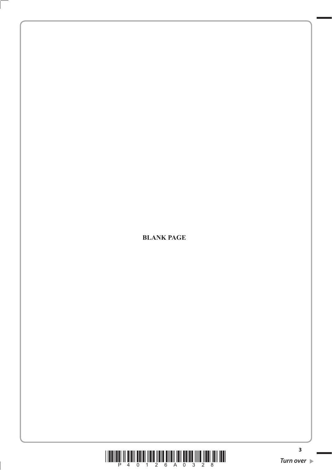

**BLANK PAGE**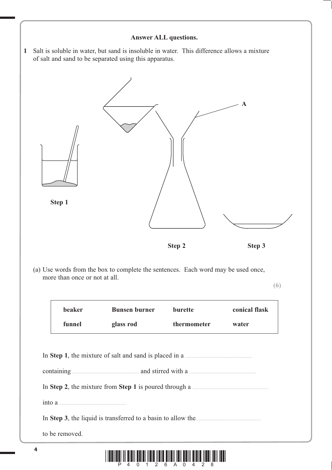#### **Answer ALL questions.**

**1** Salt is soluble in water, but sand is insoluble in water. This difference allows a mixture of salt and sand to be separated using this apparatus.





**Step 3**

(a) Use words from the box to complete the sentences. Each word may be used once, more than once or not at all.

**(6)**

| beaker         | <b>Bunsen burner</b>                                                                   | <b>burette</b> | conical flask |
|----------------|----------------------------------------------------------------------------------------|----------------|---------------|
| funnel         | glass rod                                                                              | thermometer    | water         |
|                |                                                                                        |                |               |
|                | In Step 1, the mixture of salt and sand is placed in a <u>manual manual</u>            |                |               |
|                |                                                                                        |                |               |
|                | In Step 2, the mixture from Step 1 is poured through a <u>manual manual manual</u>     |                |               |
|                |                                                                                        |                |               |
|                | In Step 3, the liquid is transferred to a basin to allow the <u>measure in section</u> |                |               |
| to be removed. |                                                                                        |                |               |

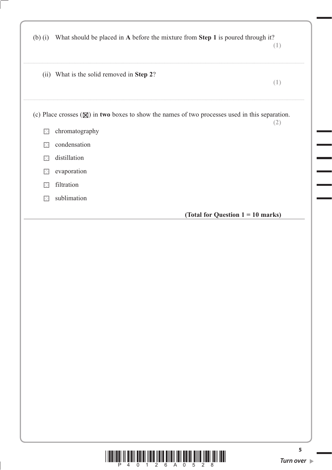|             | (b) (i) What should be placed in A before the mixture from Step 1 is poured through it?<br>(1)            |  |
|-------------|-----------------------------------------------------------------------------------------------------------|--|
|             | (ii) What is the solid removed in Step 2?<br>(1)                                                          |  |
|             | (c) Place crosses $(\mathbb{X})$ in two boxes to show the names of two processes used in this separation. |  |
| $\boxtimes$ | (2)<br>chromatography                                                                                     |  |
| $\times$    | condensation                                                                                              |  |
| X           | distillation                                                                                              |  |
| X           | evaporation                                                                                               |  |
| $\times$    | filtration                                                                                                |  |
| $\times$    | sublimation                                                                                               |  |
|             | (Total for Question 1 = 10 marks)                                                                         |  |
|             |                                                                                                           |  |
|             |                                                                                                           |  |

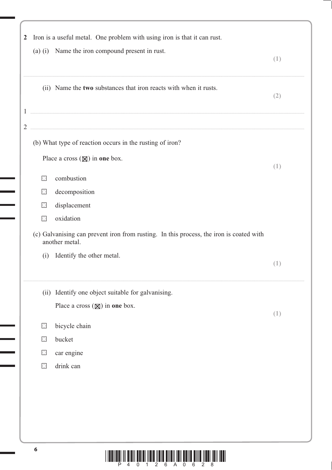| $\overline{2}$ |             | Iron is a useful metal. One problem with using iron is that it can rust.                                  |     |
|----------------|-------------|-----------------------------------------------------------------------------------------------------------|-----|
|                |             | (a) (i) Name the iron compound present in rust.                                                           | (1) |
|                |             |                                                                                                           |     |
|                |             | (ii) Name the two substances that iron reacts with when it rusts.                                         | (2) |
|                |             |                                                                                                           |     |
| 2              |             |                                                                                                           |     |
|                |             | (b) What type of reaction occurs in the rusting of iron?                                                  |     |
|                |             | Place a cross $(\boxtimes)$ in one box.                                                                   | (1) |
|                | 区           | combustion                                                                                                |     |
|                | $\boxtimes$ | decomposition                                                                                             |     |
|                | $\boxtimes$ | displacement                                                                                              |     |
|                | $\boxtimes$ | oxidation                                                                                                 |     |
|                |             | (c) Galvanising can prevent iron from rusting. In this process, the iron is coated with<br>another metal. |     |
|                | (i)         | Identify the other metal.                                                                                 | (1) |
|                |             | (ii) Identify one object suitable for galvanising.                                                        |     |
|                |             | Place a cross $(\boxtimes)$ in one box.                                                                   | (1) |
|                | $\boxtimes$ | bicycle chain                                                                                             |     |
|                | $\boxtimes$ | bucket                                                                                                    |     |
|                | $\times$    | car engine                                                                                                |     |
|                | $\boxtimes$ | drink can                                                                                                 |     |
|                |             |                                                                                                           |     |
|                |             |                                                                                                           |     |
|                |             |                                                                                                           |     |
|                |             |                                                                                                           |     |
|                |             |                                                                                                           |     |

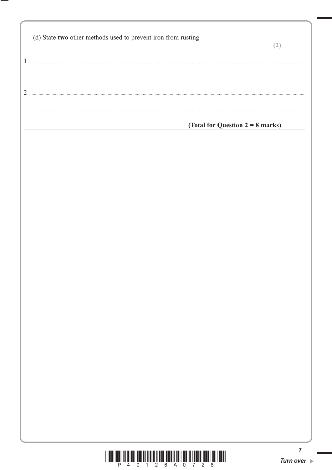|                | (d) State two other methods used to prevent iron from rusting. |                                                            |
|----------------|----------------------------------------------------------------|------------------------------------------------------------|
| $\mathbf{1}$   | (2)                                                            |                                                            |
| $\overline{2}$ |                                                                |                                                            |
|                |                                                                |                                                            |
|                | (Total for Question $2 = 8$ marks)                             |                                                            |
|                |                                                                |                                                            |
|                |                                                                |                                                            |
|                |                                                                |                                                            |
|                |                                                                |                                                            |
|                |                                                                |                                                            |
|                |                                                                |                                                            |
|                |                                                                |                                                            |
|                |                                                                |                                                            |
|                |                                                                |                                                            |
|                |                                                                |                                                            |
|                |                                                                |                                                            |
|                |                                                                |                                                            |
|                |                                                                |                                                            |
|                | P 4 0 1 2 6 A 0<br>$7 - 2 - 8$                                 | $\overline{\mathbf{z}}$<br>Turn over $\blacktriangleright$ |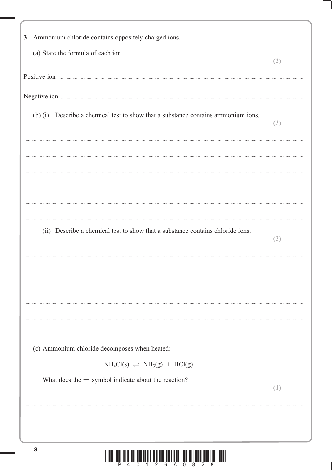| Ammonium chloride contains oppositely charged ions.<br>$\mathbf{3}$                                                                                                                                                                |     |
|------------------------------------------------------------------------------------------------------------------------------------------------------------------------------------------------------------------------------------|-----|
| (a) State the formula of each ion.                                                                                                                                                                                                 | (2) |
|                                                                                                                                                                                                                                    |     |
| Negative ion <b>manually contained</b> and the set of the set of the set of the set of the set of the set of the set of the set of the set of the set of the set of the set of the set of the set of the set of the set of the set |     |
|                                                                                                                                                                                                                                    |     |
| (b) (i) Describe a chemical test to show that a substance contains ammonium ions.                                                                                                                                                  | (3) |
|                                                                                                                                                                                                                                    |     |
|                                                                                                                                                                                                                                    |     |
|                                                                                                                                                                                                                                    |     |
|                                                                                                                                                                                                                                    |     |
|                                                                                                                                                                                                                                    |     |
| (ii) Describe a chemical test to show that a substance contains chloride ions.                                                                                                                                                     |     |
|                                                                                                                                                                                                                                    | (3) |
|                                                                                                                                                                                                                                    |     |
|                                                                                                                                                                                                                                    |     |
|                                                                                                                                                                                                                                    |     |
|                                                                                                                                                                                                                                    |     |
|                                                                                                                                                                                                                                    |     |
| (c) Ammonium chloride decomposes when heated:                                                                                                                                                                                      |     |
| $NH_4Cl(s) \Rightarrow NH_3(g) + HCl(g)$                                                                                                                                                                                           |     |
| What does the $\rightleftharpoons$ symbol indicate about the reaction?                                                                                                                                                             | (1) |
|                                                                                                                                                                                                                                    |     |
|                                                                                                                                                                                                                                    |     |
| 8                                                                                                                                                                                                                                  |     |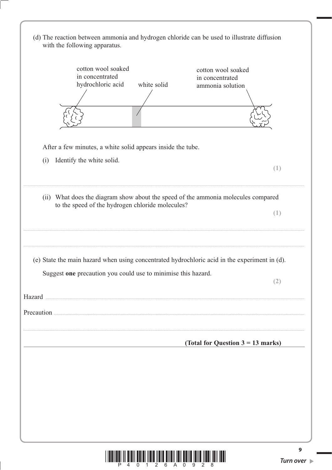| (d) The reaction between ammonia and hydrogen chloride can be used to illustrate diffusion<br>with the following apparatus.                                           |                                      |
|-----------------------------------------------------------------------------------------------------------------------------------------------------------------------|--------------------------------------|
| cotton wool soaked<br>cotton wool soaked<br>in concentrated<br>in concentrated<br>hydrochloric acid<br>white solid<br>ammonia solution                                |                                      |
| After a few minutes, a white solid appears inside the tube.                                                                                                           |                                      |
| Identify the white solid.<br>(i)<br>(1)                                                                                                                               |                                      |
| What does the diagram show about the speed of the ammonia molecules compared<br>(ii)<br>to the speed of the hydrogen chloride molecules?<br>(1)                       |                                      |
| (e) State the main hazard when using concentrated hydrochloric acid in the experiment in (d).<br>Suggest one precaution you could use to minimise this hazard.<br>(2) |                                      |
|                                                                                                                                                                       |                                      |
|                                                                                                                                                                       |                                      |
| (Total for Question $3 = 13$ marks)                                                                                                                                   |                                      |
|                                                                                                                                                                       |                                      |
| <u>I IBBILIZI III BIBII BIBI IIBIB IIBIB BIBII IBI BIBI IBIBI IBID IBI IBBI</u>                                                                                       | 9<br>Turn over $\blacktriangleright$ |

–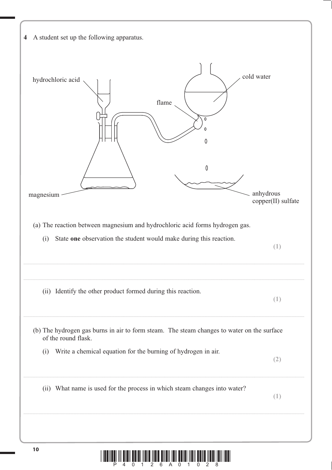

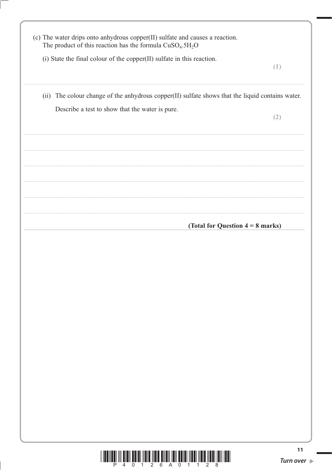| (c) The water drips onto anhydrous copper(II) sulfate and causes a reaction.<br>The product of this reaction has the formula CuSO <sub>4</sub> .5H <sub>2</sub> O |                  |
|-------------------------------------------------------------------------------------------------------------------------------------------------------------------|------------------|
| (i) State the final colour of the copper(II) sulfate in this reaction.                                                                                            | (1)              |
| (ii) The colour change of the anhydrous copper(II) sulfate shows that the liquid contains water.<br>Describe a test to show that the water is pure.               |                  |
|                                                                                                                                                                   | (2)              |
|                                                                                                                                                                   |                  |
|                                                                                                                                                                   |                  |
|                                                                                                                                                                   |                  |
| (Total for Question $4 = 8$ marks)                                                                                                                                |                  |
|                                                                                                                                                                   |                  |
|                                                                                                                                                                   |                  |
|                                                                                                                                                                   |                  |
|                                                                                                                                                                   |                  |
|                                                                                                                                                                   |                  |
|                                                                                                                                                                   |                  |
|                                                                                                                                                                   |                  |
|                                                                                                                                                                   | 11               |
| $2^{\circ}$<br>6<br>1.<br>A<br>$\Omega$<br>1.                                                                                                                     | <b>Turn over</b> |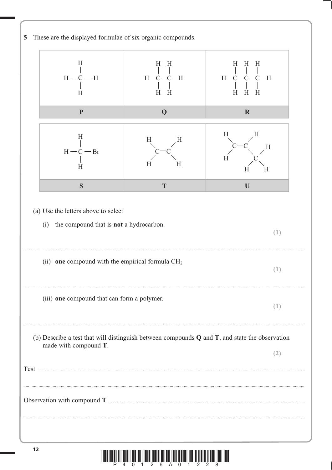

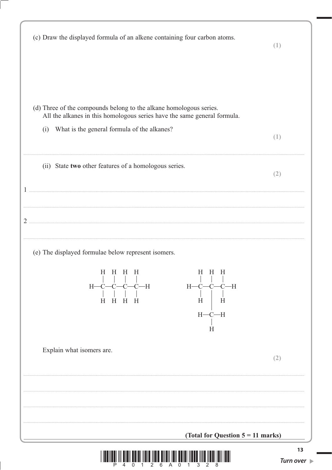| (c) Draw the displayed formula of an alkene containing four carbon atoms. | (1) |
|---------------------------------------------------------------------------|-----|
|                                                                           |     |
|                                                                           |     |
| (d) Three of the compounds belong to the alkane homologous series.        |     |
| All the alkanes in this homologous series have the same general formula.  |     |
| What is the general formula of the alkanes?<br>(i)                        | (1) |
| (ii) State two other features of a homologous series.                     |     |
|                                                                           | (2) |
|                                                                           |     |
|                                                                           |     |
|                                                                           |     |
| (e) The displayed formulae below represent isomers.                       |     |
| H H H<br>H H H H<br>H-<br>$H-$<br>—Н<br>-С—Н                              |     |
| H<br>H<br>H<br>H<br>H<br>H                                                |     |
| $H$ —C—H                                                                  |     |
| H                                                                         |     |
| Explain what isomers are.                                                 | (2) |
|                                                                           |     |
|                                                                           |     |
|                                                                           |     |
| (Total for Question $5 = 11$ marks)                                       |     |
|                                                                           | 13  |

–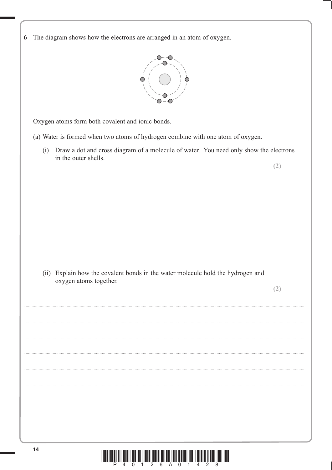The diagram shows how the electrons are arranged in an atom of oxygen. 6



Oxygen atoms form both covalent and ionic bonds.

- (a) Water is formed when two atoms of hydrogen combine with one atom of oxygen.
	- (i) Draw a dot and cross diagram of a molecule of water. You need only show the electrons in the outer shells.

| (ii) Explain how the covalent bonds in the water molecule hold the hydrogen and |
|---------------------------------------------------------------------------------|
| oxygen atoms together.                                                          |

 $(2)$ 

 $(2)$ 

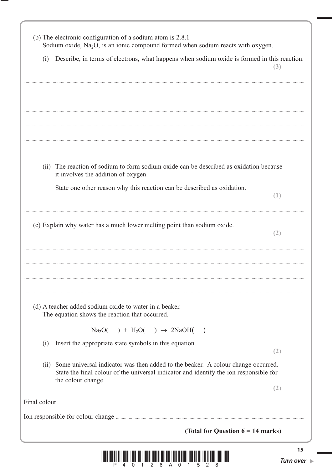|     | Describe, in terms of electrons, what happens when sodium oxide is formed in this reaction.                                                                                     | <b>(3)</b> |
|-----|---------------------------------------------------------------------------------------------------------------------------------------------------------------------------------|------------|
|     |                                                                                                                                                                                 |            |
|     |                                                                                                                                                                                 |            |
|     |                                                                                                                                                                                 |            |
|     |                                                                                                                                                                                 |            |
|     |                                                                                                                                                                                 |            |
|     | (ii) The reaction of sodium to form sodium oxide can be described as oxidation because<br>it involves the addition of oxygen.                                                   |            |
|     | State one other reason why this reaction can be described as oxidation.                                                                                                         | (1)        |
|     |                                                                                                                                                                                 |            |
|     | (c) Explain why water has a much lower melting point than sodium oxide.                                                                                                         |            |
|     |                                                                                                                                                                                 | (2)        |
|     |                                                                                                                                                                                 |            |
|     |                                                                                                                                                                                 |            |
|     |                                                                                                                                                                                 |            |
|     | (d) A teacher added sodium oxide to water in a beaker.                                                                                                                          |            |
|     | The equation shows the reaction that occurred.                                                                                                                                  |            |
|     |                                                                                                                                                                                 |            |
|     | $Na_2O()$ + $H_2O()$ $\rightarrow$ 2NaOH()                                                                                                                                      |            |
| (i) | Insert the appropriate state symbols in this equation.                                                                                                                          | (2)        |
|     | (ii) Some universal indicator was then added to the beaker. A colour change occurred.<br>State the final colour of the universal indicator and identify the ion responsible for |            |
|     | the colour change.                                                                                                                                                              | (2)        |
|     | Final colour                                                                                                                                                                    |            |
|     |                                                                                                                                                                                 |            |

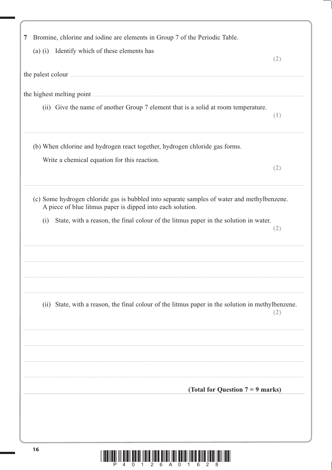| Bromine, chlorine and iodine are elements in Group 7 of the Periodic Table.<br>7<br>(a) (i) Identify which of these elements has                          | (2) |
|-----------------------------------------------------------------------------------------------------------------------------------------------------------|-----|
|                                                                                                                                                           |     |
| (ii) Give the name of another Group 7 element that is a solid at room temperature.                                                                        | (1) |
| (b) When chlorine and hydrogen react together, hydrogen chloride gas forms.                                                                               |     |
| Write a chemical equation for this reaction.                                                                                                              | (2) |
| (c) Some hydrogen chloride gas is bubbled into separate samples of water and methylbenzene.<br>A piece of blue litmus paper is dipped into each solution. |     |
| State, with a reason, the final colour of the litmus paper in the solution in water.<br>(i)                                                               | (2) |
| (ii) State, with a reason, the final colour of the litmus paper in the solution in methylbenzene.                                                         | (2) |
| (Total for Question $7 = 9$ marks)                                                                                                                        |     |
|                                                                                                                                                           |     |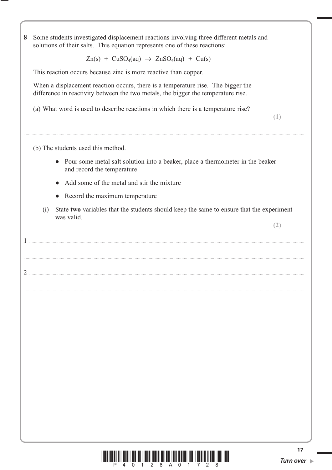| 8 |                                                                                                                                                                       | Some students investigated displacement reactions involving three different metals and<br>solutions of their salts. This equation represents one of these reactions: |     |  |  |
|---|-----------------------------------------------------------------------------------------------------------------------------------------------------------------------|----------------------------------------------------------------------------------------------------------------------------------------------------------------------|-----|--|--|
|   | $Zn(s)$ + CuSO <sub>4</sub> (aq) $\rightarrow$ ZnSO <sub>4</sub> (aq) + Cu(s)                                                                                         |                                                                                                                                                                      |     |  |  |
|   | This reaction occurs because zinc is more reactive than copper.                                                                                                       |                                                                                                                                                                      |     |  |  |
|   | When a displacement reaction occurs, there is a temperature rise. The bigger the<br>difference in reactivity between the two metals, the bigger the temperature rise. |                                                                                                                                                                      |     |  |  |
|   |                                                                                                                                                                       | (a) What word is used to describe reactions in which there is a temperature rise?                                                                                    | (1) |  |  |
|   |                                                                                                                                                                       | (b) The students used this method.                                                                                                                                   |     |  |  |
|   | $\bullet$                                                                                                                                                             | Pour some metal salt solution into a beaker, place a thermometer in the beaker<br>and record the temperature                                                         |     |  |  |
|   |                                                                                                                                                                       | Add some of the metal and stir the mixture                                                                                                                           |     |  |  |
|   |                                                                                                                                                                       | • Record the maximum temperature                                                                                                                                     |     |  |  |
|   | (i)                                                                                                                                                                   | State two variables that the students should keep the same to ensure that the experiment<br>was valid.                                                               |     |  |  |
|   |                                                                                                                                                                       |                                                                                                                                                                      | (2) |  |  |
|   |                                                                                                                                                                       |                                                                                                                                                                      |     |  |  |
|   |                                                                                                                                                                       |                                                                                                                                                                      |     |  |  |
|   |                                                                                                                                                                       |                                                                                                                                                                      |     |  |  |
|   |                                                                                                                                                                       |                                                                                                                                                                      |     |  |  |
|   |                                                                                                                                                                       |                                                                                                                                                                      |     |  |  |
|   |                                                                                                                                                                       |                                                                                                                                                                      |     |  |  |
|   |                                                                                                                                                                       |                                                                                                                                                                      |     |  |  |
|   |                                                                                                                                                                       |                                                                                                                                                                      |     |  |  |
|   |                                                                                                                                                                       |                                                                                                                                                                      |     |  |  |
|   |                                                                                                                                                                       |                                                                                                                                                                      |     |  |  |
|   |                                                                                                                                                                       |                                                                                                                                                                      |     |  |  |
|   |                                                                                                                                                                       |                                                                                                                                                                      |     |  |  |
|   |                                                                                                                                                                       |                                                                                                                                                                      |     |  |  |
|   |                                                                                                                                                                       |                                                                                                                                                                      |     |  |  |
|   |                                                                                                                                                                       |                                                                                                                                                                      |     |  |  |
|   |                                                                                                                                                                       |                                                                                                                                                                      |     |  |  |
|   |                                                                                                                                                                       |                                                                                                                                                                      |     |  |  |

**<sup>17</sup>** \*P40126A01728\* *Turn over*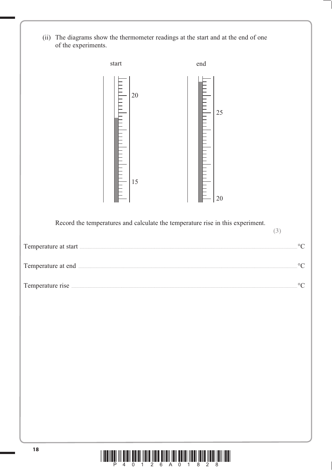(ii) The diagrams show the thermometer readings at the start and at the end of one of the experiments.



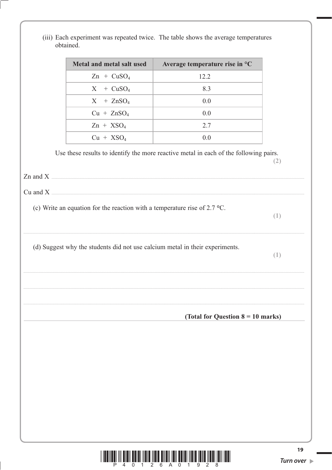| $Zn + CuSO4$<br>12.2<br>$X + CuSO4$<br>8.3<br>$X$ + $ZnSO4$<br>0.0<br>$Cu + ZnSO4$<br>0.0<br>$Zn + XSO4$<br>2.7<br>$Cu + XSO4$<br>0.0<br>Use these results to identify the more reactive metal in each of the following pairs.<br>(2)<br>Zn and X $\ldots$ $\ldots$ $\ldots$ $\ldots$ $\ldots$ $\ldots$ $\ldots$ $\ldots$ $\ldots$ $\ldots$ $\ldots$ $\ldots$ $\ldots$ $\ldots$ $\ldots$ $\ldots$ $\ldots$ $\ldots$ $\ldots$ $\ldots$ $\ldots$ $\ldots$ $\ldots$ $\ldots$ $\ldots$ $\ldots$ $\ldots$ $\ldots$ $\ldots$ $\ldots$ $\ldots$ $\ldots$ $\ldots$ $\ldots$ $\ldots$ $\$<br>(c) Write an equation for the reaction with a temperature rise of $2.7 \text{ °C}$ .<br>(1)<br>(d) Suggest why the students did not use calcium metal in their experiments.<br>(1)<br>(Total for Question $8 = 10$ marks) | Metal and metal salt used | Average temperature rise in °C |  |
|---------------------------------------------------------------------------------------------------------------------------------------------------------------------------------------------------------------------------------------------------------------------------------------------------------------------------------------------------------------------------------------------------------------------------------------------------------------------------------------------------------------------------------------------------------------------------------------------------------------------------------------------------------------------------------------------------------------------------------------------------------------------------------------------------------------|---------------------------|--------------------------------|--|
|                                                                                                                                                                                                                                                                                                                                                                                                                                                                                                                                                                                                                                                                                                                                                                                                               |                           |                                |  |
|                                                                                                                                                                                                                                                                                                                                                                                                                                                                                                                                                                                                                                                                                                                                                                                                               |                           |                                |  |
|                                                                                                                                                                                                                                                                                                                                                                                                                                                                                                                                                                                                                                                                                                                                                                                                               |                           |                                |  |
|                                                                                                                                                                                                                                                                                                                                                                                                                                                                                                                                                                                                                                                                                                                                                                                                               |                           |                                |  |
|                                                                                                                                                                                                                                                                                                                                                                                                                                                                                                                                                                                                                                                                                                                                                                                                               |                           |                                |  |
|                                                                                                                                                                                                                                                                                                                                                                                                                                                                                                                                                                                                                                                                                                                                                                                                               |                           |                                |  |
|                                                                                                                                                                                                                                                                                                                                                                                                                                                                                                                                                                                                                                                                                                                                                                                                               |                           |                                |  |
|                                                                                                                                                                                                                                                                                                                                                                                                                                                                                                                                                                                                                                                                                                                                                                                                               |                           |                                |  |
|                                                                                                                                                                                                                                                                                                                                                                                                                                                                                                                                                                                                                                                                                                                                                                                                               |                           |                                |  |
|                                                                                                                                                                                                                                                                                                                                                                                                                                                                                                                                                                                                                                                                                                                                                                                                               |                           |                                |  |
|                                                                                                                                                                                                                                                                                                                                                                                                                                                                                                                                                                                                                                                                                                                                                                                                               |                           |                                |  |
|                                                                                                                                                                                                                                                                                                                                                                                                                                                                                                                                                                                                                                                                                                                                                                                                               |                           |                                |  |
|                                                                                                                                                                                                                                                                                                                                                                                                                                                                                                                                                                                                                                                                                                                                                                                                               |                           |                                |  |
|                                                                                                                                                                                                                                                                                                                                                                                                                                                                                                                                                                                                                                                                                                                                                                                                               |                           |                                |  |
|                                                                                                                                                                                                                                                                                                                                                                                                                                                                                                                                                                                                                                                                                                                                                                                                               |                           |                                |  |
|                                                                                                                                                                                                                                                                                                                                                                                                                                                                                                                                                                                                                                                                                                                                                                                                               |                           |                                |  |
|                                                                                                                                                                                                                                                                                                                                                                                                                                                                                                                                                                                                                                                                                                                                                                                                               |                           |                                |  |
|                                                                                                                                                                                                                                                                                                                                                                                                                                                                                                                                                                                                                                                                                                                                                                                                               |                           |                                |  |
|                                                                                                                                                                                                                                                                                                                                                                                                                                                                                                                                                                                                                                                                                                                                                                                                               |                           |                                |  |

–

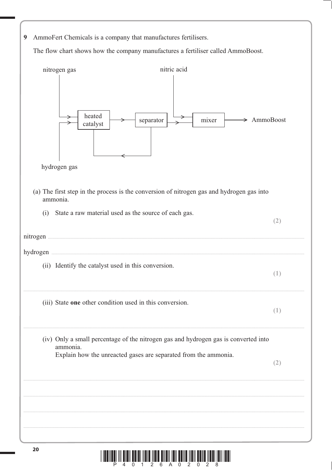9 AmmoFert Chemicals is a company that manufactures fertilisers.

The flow chart shows how the company manufactures a fertiliser called AmmoBoost.



2 6 A 0 2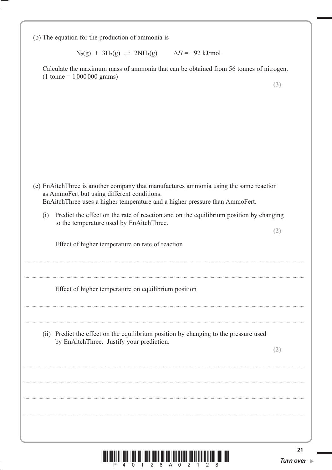(b) The equation for the production of ammonia is

 $N_2(g) + 3H_2(g) \rightleftharpoons 2NH_3(g)$  $\Delta H = -92$  kJ/mol

Calculate the maximum mass of ammonia that can be obtained from 56 tonnes of nitrogen.  $(1 \text{ tonne} = 1000000 \text{ grams})$ 

 $(3)$ 

(c) EnAitchThree is another company that manufactures ammonia using the same reaction as AmmoFert but using different conditions. EnAitchThree uses a higher temperature and a higher pressure than AmmoFert.

(i) Predict the effect on the rate of reaction and on the equilibrium position by changing to the temperature used by EnAitchThree.

Effect of higher temperature on rate of reaction

Effect of higher temperature on equilibrium position

(ii) Predict the effect on the equilibrium position by changing to the pressure used by EnAitchThree. Justify your prediction.

 $(2)$ 

 $(2)$ 

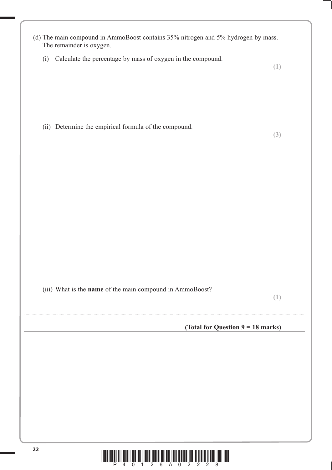| (d) The main compound in AmmoBoost contains 35% nitrogen and 5% hydrogen by mass.<br>The remainder is oxygen.             |     |
|---------------------------------------------------------------------------------------------------------------------------|-----|
| Calculate the percentage by mass of oxygen in the compound.<br>(i)                                                        | (1) |
| (ii) Determine the empirical formula of the compound.                                                                     | (3) |
|                                                                                                                           |     |
|                                                                                                                           |     |
| (iii) What is the name of the main compound in AmmoBoost?                                                                 | (1) |
| (Total for Question $9 = 18$ marks)                                                                                       |     |
|                                                                                                                           |     |
|                                                                                                                           |     |
|                                                                                                                           |     |
|                                                                                                                           |     |
| 22<br><u> I letih si ili sini seni ili kalendar sini sini sini sini sini sini da ili sini sini sini sini sini sini si</u> |     |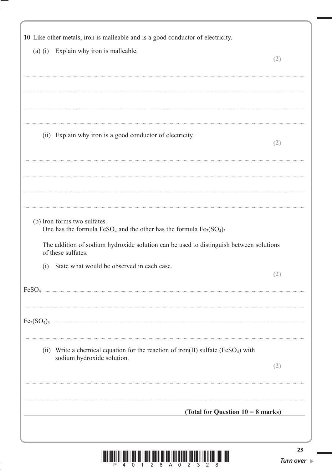| (a) (i) Explain why iron is malleable.<br>(2)                                                                |  |
|--------------------------------------------------------------------------------------------------------------|--|
|                                                                                                              |  |
|                                                                                                              |  |
|                                                                                                              |  |
|                                                                                                              |  |
| (ii) Explain why iron is a good conductor of electricity.<br>(2)                                             |  |
|                                                                                                              |  |
|                                                                                                              |  |
|                                                                                                              |  |
| (b) Iron forms two sulfates.<br>One has the formula $FeSO_4$ and the other has the formula $Fe2(SO4)3$       |  |
| The addition of sodium hydroxide solution can be used to distinguish between solutions<br>of these sulfates. |  |
| State what would be observed in each case.<br>(i)<br>(2)                                                     |  |
|                                                                                                              |  |
|                                                                                                              |  |
|                                                                                                              |  |
| (ii) Write a chemical equation for the reaction of iron(II) sulfate $(FeSO4)$ with                           |  |
| sodium hydroxide solution.<br>(2)                                                                            |  |
|                                                                                                              |  |
| (Total for Question $10 = 8$ marks)                                                                          |  |
|                                                                                                              |  |

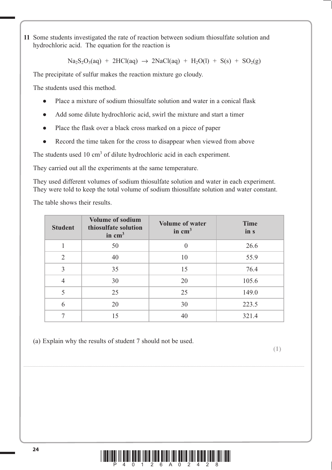**11** Some students investigated the rate of reaction between sodium thiosulfate solution and hydrochloric acid. The equation for the reaction is

 $Na_2S_2O_3(aq) + 2HCl(aq) \rightarrow 2NaCl(aq) + H_2O(l) + S(s) + SO_2(g)$ 

The precipitate of sulfur makes the reaction mixture go cloudy.

The students used this method.

- Place a mixture of sodium thiosulfate solution and water in a conical flask
- Add some dilute hydrochloric acid, swirl the mixture and start a timer
- Place the flask over a black cross marked on a piece of paper
- Record the time taken for the cross to disappear when viewed from above

The students used 10 cm<sup>3</sup> of dilute hydrochloric acid in each experiment.

They carried out all the experiments at the same temperature.

They used different volumes of sodium thiosulfate solution and water in each experiment. They were told to keep the total volume of sodium thiosulfate solution and water constant.

The table shows their results.

| <b>Student</b> | <b>Volume of sodium</b><br>thiosulfate solution<br>in $cm3$ | <b>Volume of water</b><br>in $cm3$ | <b>Time</b><br>in s |
|----------------|-------------------------------------------------------------|------------------------------------|---------------------|
|                | 50                                                          | 0                                  | 26.6                |
| $\overline{2}$ | 40                                                          | 10                                 | 55.9                |
| 3              | 35                                                          | 15                                 | 76.4                |
| 4              | 30                                                          | 20                                 | 105.6               |
|                | 25                                                          | 25                                 | 149.0               |
| 6              | 20                                                          | 30                                 | 223.5               |
|                | 15                                                          | 40                                 | 321.4               |

................................................................................................................................................................................................................................................

(a) Explain why the results of student 7 should not be used.

**(1)**

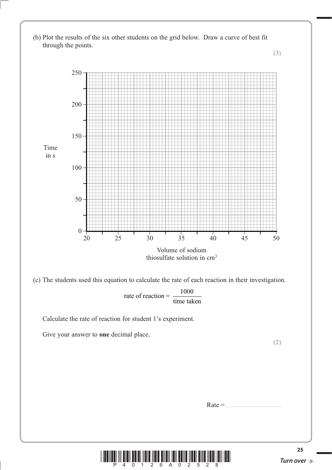(b) Plot the results of the six other students on the grid below. Draw a curve of best fit through the points.

**(3)**



(c) The students used this equation to calculate the rate of each reaction in their investigation.

rate of reaction =  $\frac{1000}{1000}$ time taken

Calculate the rate of reaction for student 1's experiment.

Give your answer to **one** decimal place.

**(2)**

5DWH ...............................................

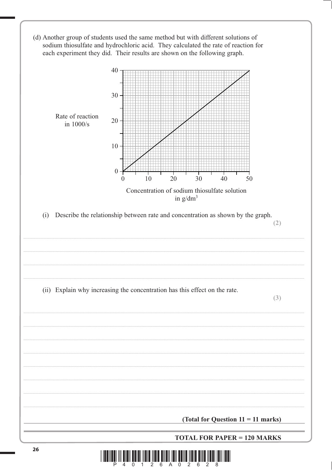(d) Another group of students used the same method but with different solutions of sodium thiosulfate and hydrochloric acid. They calculated the rate of reaction for each experiment they did. Their results are shown on the following graph.

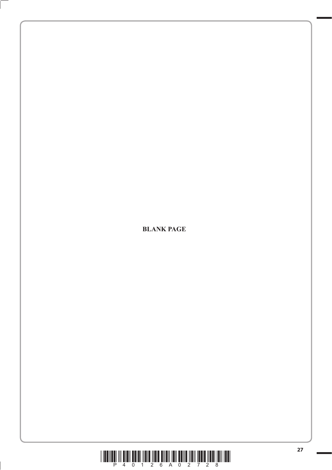

#### **BLANK PAGE**